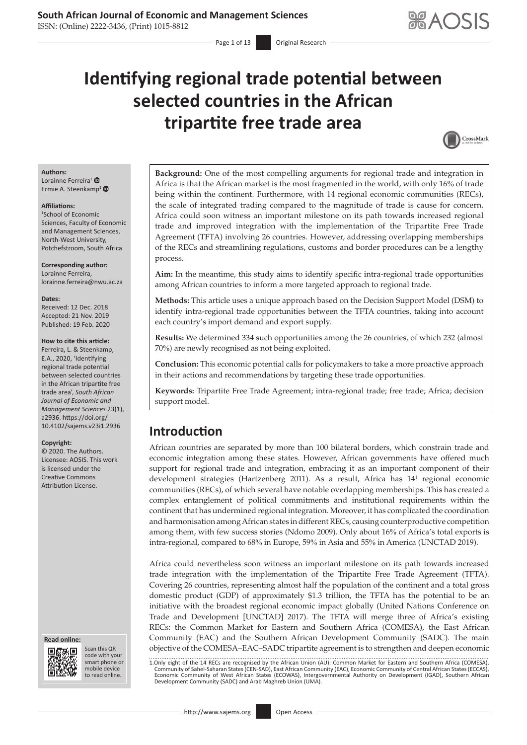ISSN: (Online) 2222-3436, (Print) 1015-8812

# **Identifying regional trade potential between selected countries in the African tripartite free trade area**



#### **Authors:**

Lorainne Ferreira<sup>[1](https://orcid.org/0000-0001-6404-3083)</sup> Ermie A. Steenkamp<sup>1</sup>

#### **Affiliations:**

1 School of Economic Sciences, Faculty of Economic and Management Sciences, North-West University, Potchefstroom, South Africa

**Corresponding author:** Lorainne Ferreira, lorainne.ferreira@nwu.ac.za

#### **Dates:**

Received: 12 Dec. 2018 Accepted: 21 Nov. 2019 Published: 19 Feb. 2020

#### **How to cite this article:**

Ferreira, L. & Steenkamp, E.A., 2020, 'Identifying regional trade potential between selected countries in the African tripartite free trade area', *South African Journal of Economic and Management Sciences* 23(1), a2936. [https://doi.org/](https://doi.org/10.4102/sajems.v23i1.2936) [10.4102/sajems.v23i1.2936](https://doi.org/10.4102/sajems.v23i1.2936)

#### **Copyright:**

© 2020. The Authors. Licensee: AOSIS. This work is licensed under the Creative Commons Attribution License.

#### **Read online: Read online:**



Scan this QR code with your Scan this QR<br>code with your<br>smart phone or<br>mobile device mobile device to read online. to read online.

**Background:** One of the most compelling arguments for regional trade and integration in Africa is that the African market is the most fragmented in the world, with only 16% of trade being within the continent. Furthermore, with 14 regional economic communities (RECs), the scale of integrated trading compared to the magnitude of trade is cause for concern. Africa could soon witness an important milestone on its path towards increased regional trade and improved integration with the implementation of the Tripartite Free Trade Agreement (TFTA) involving 26 countries. However, addressing overlapping memberships of the RECs and streamlining regulations, customs and border procedures can be a lengthy process.

**Aim:** In the meantime, this study aims to identify specific intra-regional trade opportunities among African countries to inform a more targeted approach to regional trade.

**Methods:** This article uses a unique approach based on the Decision Support Model (DSM) to identify intra-regional trade opportunities between the TFTA countries, taking into account each country's import demand and export supply.

**Results:** We determined 334 such opportunities among the 26 countries, of which 232 (almost 70%) are newly recognised as not being exploited.

**Conclusion:** This economic potential calls for policymakers to take a more proactive approach in their actions and recommendations by targeting these trade opportunities.

**Keywords:** Tripartite Free Trade Agreement; intra-regional trade; free trade; Africa; decision support model.

# **Introduction**

African countries are separated by more than 100 bilateral borders, which constrain trade and economic integration among these states. However, African governments have offered much support for regional trade and integration, embracing it as an important component of their development strategies (Hartzenberg 2011). As a result, Africa has 141 regional economic communities (RECs), of which several have notable overlapping memberships. This has created a complex entanglement of political commitments and institutional requirements within the continent that has undermined regional integration. Moreover, it has complicated the coordination and harmonisation among African states in different RECs, causing counterproductive competition among them, with few success stories (Ndomo 2009). Only about 16% of Africa's total exports is intra-regional, compared to 68% in Europe, 59% in Asia and 55% in America (UNCTAD 2019).

Africa could nevertheless soon witness an important milestone on its path towards increased trade integration with the implementation of the Tripartite Free Trade Agreement (TFTA). Covering 26 countries, representing almost half the population of the continent and a total gross domestic product (GDP) of approximately \$1.3 trillion, the TFTA has the potential to be an initiative with the broadest regional economic impact globally (United Nations Conference on Trade and Development [UNCTAD] 2017). The TFTA will merge three of Africa's existing RECs: the Common Market for Eastern and Southern Africa (COMESA), the East African Community (EAC) and the Southern African Development Community (SADC). The main objective of the COMESA–EAC–SADC tripartite agreement is to strengthen and deepen economic

1.Only eight of the 14 RECs are recognised by the African Union (AU): Common Market for Eastern and Southern Africa (COMESA), Community of Sahel-Saharan States (CEN-SAD), East African Community (EAC), Economic Community of Central African States (ECCAS),<br>Economic Community of West African States (ECOWAS), Intergovernmental Authority on D Development Community (SADC) and Arab Maghreb Union (UMA).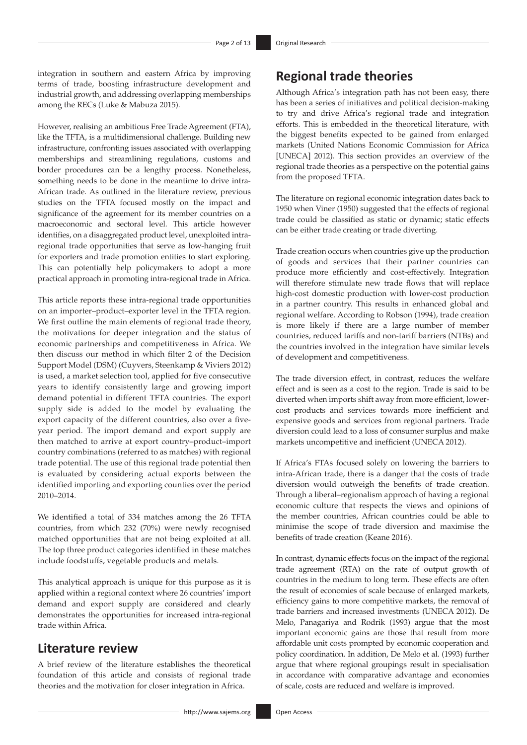integration in southern and eastern Africa by improving terms of trade, boosting infrastructure development and industrial growth, and addressing overlapping memberships among the RECs (Luke & Mabuza 2015).

However, realising an ambitious Free Trade Agreement (FTA), like the TFTA, is a multidimensional challenge. Building new infrastructure, confronting issues associated with overlapping memberships and streamlining regulations, customs and border procedures can be a lengthy process. Nonetheless, something needs to be done in the meantime to drive intra-African trade. As outlined in the literature review, previous studies on the TFTA focused mostly on the impact and significance of the agreement for its member countries on a macroeconomic and sectoral level. This article however identifies, on a disaggregated product level, unexploited intraregional trade opportunities that serve as low-hanging fruit for exporters and trade promotion entities to start exploring. This can potentially help policymakers to adopt a more practical approach in promoting intra-regional trade in Africa.

This article reports these intra-regional trade opportunities on an importer–product–exporter level in the TFTA region. We first outline the main elements of regional trade theory, the motivations for deeper integration and the status of economic partnerships and competitiveness in Africa. We then discuss our method in which filter 2 of the Decision Support Model (DSM) (Cuyvers, Steenkamp & Viviers 2012) is used, a market selection tool, applied for five consecutive years to identify consistently large and growing import demand potential in different TFTA countries. The export supply side is added to the model by evaluating the export capacity of the different countries, also over a fiveyear period. The import demand and export supply are then matched to arrive at export country–product–import country combinations (referred to as matches) with regional trade potential. The use of this regional trade potential then is evaluated by considering actual exports between the identified importing and exporting counties over the period 2010–2014.

We identified a total of 334 matches among the 26 TFTA countries, from which 232 (70%) were newly recognised matched opportunities that are not being exploited at all. The top three product categories identified in these matches include foodstuffs, vegetable products and metals.

This analytical approach is unique for this purpose as it is applied within a regional context where 26 countries' import demand and export supply are considered and clearly demonstrates the opportunities for increased intra-regional trade within Africa.

### **Literature review**

A brief review of the literature establishes the theoretical foundation of this article and consists of regional trade theories and the motivation for closer integration in Africa.

# **Regional trade theories**

Although Africa's integration path has not been easy, there has been a series of initiatives and political decision-making to try and drive Africa's regional trade and integration efforts. This is embedded in the theoretical literature, with the biggest benefits expected to be gained from enlarged markets (United Nations Economic Commission for Africa [UNECA] 2012). This section provides an overview of the regional trade theories as a perspective on the potential gains from the proposed TFTA.

The literature on regional economic integration dates back to 1950 when Viner (1950) suggested that the effects of regional trade could be classified as static or dynamic; static effects can be either trade creating or trade diverting.

Trade creation occurs when countries give up the production of goods and services that their partner countries can produce more efficiently and cost-effectively. Integration will therefore stimulate new trade flows that will replace high-cost domestic production with lower-cost production in a partner country. This results in enhanced global and regional welfare. According to Robson (1994), trade creation is more likely if there are a large number of member countries, reduced tariffs and non-tariff barriers (NTBs) and the countries involved in the integration have similar levels of development and competitiveness.

The trade diversion effect, in contrast, reduces the welfare effect and is seen as a cost to the region. Trade is said to be diverted when imports shift away from more efficient, lowercost products and services towards more inefficient and expensive goods and services from regional partners. Trade diversion could lead to a loss of consumer surplus and make markets uncompetitive and inefficient (UNECA 2012).

If Africa's FTAs focused solely on lowering the barriers to intra-African trade, there is a danger that the costs of trade diversion would outweigh the benefits of trade creation. Through a liberal–regionalism approach of having a regional economic culture that respects the views and opinions of the member countries, African countries could be able to minimise the scope of trade diversion and maximise the benefits of trade creation (Keane 2016).

In contrast, dynamic effects focus on the impact of the regional trade agreement (RTA) on the rate of output growth of countries in the medium to long term. These effects are often the result of economies of scale because of enlarged markets, efficiency gains to more competitive markets, the removal of trade barriers and increased investments (UNECA 2012). De Melo, Panagariya and Rodrik (1993) argue that the most important economic gains are those that result from more affordable unit costs prompted by economic cooperation and policy coordination. In addition, De Melo et al. (1993) further argue that where regional groupings result in specialisation in accordance with comparative advantage and economies of scale, costs are reduced and welfare is improved.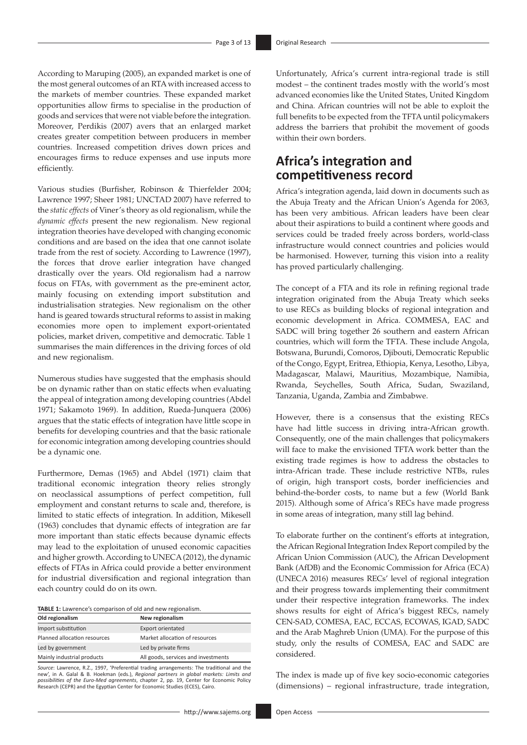According to Maruping (2005), an expanded market is one of the most general outcomes of an RTA with increased access to the markets of member countries. These expanded market opportunities allow firms to specialise in the production of goods and services that were not viable before the integration. Moreover, Perdikis (2007) avers that an enlarged market creates greater competition between producers in member countries. Increased competition drives down prices and encourages firms to reduce expenses and use inputs more efficiently.

Various studies (Burfisher, Robinson & Thierfelder 2004; Lawrence 1997; Sheer 1981; UNCTAD 2007) have referred to the *static effects* of Viner's theory as old regionalism, while the *dynamic effects* present the new regionalism. New regional integration theories have developed with changing economic conditions and are based on the idea that one cannot isolate trade from the rest of society. According to Lawrence (1997), the forces that drove earlier integration have changed drastically over the years. Old regionalism had a narrow focus on FTAs, with government as the pre-eminent actor, mainly focusing on extending import substitution and industrialisation strategies. New regionalism on the other hand is geared towards structural reforms to assist in making economies more open to implement export-orientated policies, market driven, competitive and democratic. Table 1 summarises the main differences in the driving forces of old and new regionalism.

Numerous studies have suggested that the emphasis should be on dynamic rather than on static effects when evaluating the appeal of integration among developing countries (Abdel 1971; Sakamoto 1969). In addition, Rueda-Junquera (2006) argues that the static effects of integration have little scope in benefits for developing countries and that the basic rationale for economic integration among developing countries should be a dynamic one.

Furthermore, Demas (1965) and Abdel (1971) claim that traditional economic integration theory relies strongly on neoclassical assumptions of perfect competition, full employment and constant returns to scale and, therefore, is limited to static effects of integration. In addition, Mikesell (1963) concludes that dynamic effects of integration are far more important than static effects because dynamic effects may lead to the exploitation of unused economic capacities and higher growth. According to UNECA (2012), the dynamic effects of FTAs in Africa could provide a better environment for industrial diversification and regional integration than each country could do on its own.

|  |  | TABLE 1: Lawrence's comparison of old and new regionalism. |
|--|--|------------------------------------------------------------|
|--|--|------------------------------------------------------------|

| Old regionalism              | New regionalism                     |
|------------------------------|-------------------------------------|
| Import substitution          | <b>Export orientated</b>            |
| Planned allocation resources | Market allocation of resources      |
| Led by government            | Led by private firms                |
| Mainly industrial products   | All goods, services and investments |

Source: Lawrence, R.Z., 1997, 'Preferential trading arrangements: The traditional and the<br>new', in A. Galal & B. Hoekman (eds.), *Regional partners in global markets: Limits and*<br>possibilities of the Euro-Med agreements, c

Unfortunately, Africa's current intra-regional trade is still modest – the continent trades mostly with the world's most advanced economies like the United States, United Kingdom and China*.* African countries will not be able to exploit the full benefits to be expected from the TFTA until policymakers address the barriers that prohibit the movement of goods within their own borders.

# **Africa's integration and competitiveness record**

Africa's integration agenda, laid down in documents such as the Abuja Treaty and the African Union's Agenda for 2063, has been very ambitious. African leaders have been clear about their aspirations to build a continent where goods and services could be traded freely across borders, world-class infrastructure would connect countries and policies would be harmonised. However, turning this vision into a reality has proved particularly challenging.

The concept of a FTA and its role in refining regional trade integration originated from the Abuja Treaty which seeks to use RECs as building blocks of regional integration and economic development in Africa. COMMESA, EAC and SADC will bring together 26 southern and eastern African countries, which will form the TFTA. These include Angola, Botswana, Burundi, Comoros, Djibouti, Democratic Republic of the Congo, Egypt, Eritrea, Ethiopia, Kenya, Lesotho, Libya, Madagascar, Malawi, Mauritius, Mozambique, Namibia, Rwanda, Seychelles, South Africa, Sudan, Swaziland, Tanzania, Uganda, Zambia and Zimbabwe.

However, there is a consensus that the existing RECs have had little success in driving intra-African growth. Consequently, one of the main challenges that policymakers will face to make the envisioned TFTA work better than the existing trade regimes is how to address the obstacles to intra-African trade. These include restrictive NTBs, rules of origin, high transport costs, border inefficiencies and behind-the-border costs, to name but a few (World Bank 2015). Although some of Africa's RECs have made progress in some areas of integration, many still lag behind.

To elaborate further on the continent's efforts at integration, the African Regional Integration Index Report compiled by the African Union Commission (AUC), the African Development Bank (AfDB) and the Economic Commission for Africa (ECA) (UNECA 2016) measures RECs' level of regional integration and their progress towards implementing their commitment under their respective integration frameworks. The index shows results for eight of Africa's biggest RECs, namely CEN-SAD, COMESA, EAC, ECCAS, ECOWAS, IGAD, SADC and the Arab Maghreb Union (UMA). For the purpose of this study, only the results of COMESA, EAC and SADC are considered.

The index is made up of five key socio-economic categories (dimensions) – regional infrastructure, trade integration,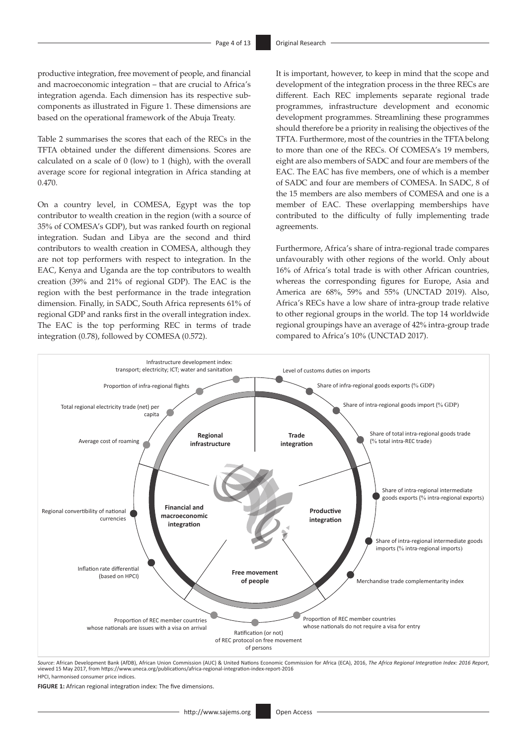productive integration, free movement of people, and financial and macroeconomic integration – that are crucial to Africa's integration agenda. Each dimension has its respective subcomponents as illustrated in Figure 1. These dimensions are based on the operational framework of the Abuja Treaty.

Table 2 summarises the scores that each of the RECs in the TFTA obtained under the different dimensions. Scores are calculated on a scale of 0 (low) to 1 (high), with the overall average score for regional integration in Africa standing at 0.470.

On a country level, in COMESA, Egypt was the top contributor to wealth creation in the region (with a source of 35% of COMESA's GDP), but was ranked fourth on regional integration. Sudan and Libya are the second and third contributors to wealth creation in COMESA, although they are not top performers with respect to integration. In the EAC, Kenya and Uganda are the top contributors to wealth creation (39% and 21% of regional GDP). The EAC is the region with the best performance in the trade integration dimension. Finally, in SADC, South Africa represents 61% of regional GDP and ranks first in the overall integration index. The EAC is the top performing REC in terms of trade integration (0.78), followed by COMESA (0.572).

It is important, however, to keep in mind that the scope and development of the integration process in the three RECs are different. Each REC implements separate regional trade programmes, infrastructure development and economic development programmes. Streamlining these programmes should therefore be a priority in realising the objectives of the TFTA. Furthermore, most of the countries in the TFTA belong to more than one of the RECs. Of COMESA's 19 members, eight are also members of SADC and four are members of the EAC. The EAC has five members, one of which is a member of SADC and four are members of COMESA. In SADC, 8 of the 15 members are also members of COMESA and one is a member of EAC. These overlapping memberships have contributed to the difficulty of fully implementing trade agreements.

Furthermore, Africa's share of intra-regional trade compares unfavourably with other regions of the world. Only about 16% of Africa's total trade is with other African countries, whereas the corresponding figures for Europe, Asia and America are 68%, 59% and 55% (UNCTAD 2019). Also, Africa's RECs have a low share of intra-group trade relative to other regional groups in the world. The top 14 worldwide regional groupings have an average of 42% intra-group trade compared to Africa's 10% (UNCTAD 2017).



*Source*: African Development Bank (AfDB), African Union Commission (AUC) & United Nations Economic Commission for Africa (ECA), 2016, *The Africa Regional Integration Index: 2016 Report*, viewed 15 May 2017, from<https://www.uneca.org/publications/africa-regional-integration-index-report-2016> HPCI, harmonised consumer price indices.

**FIGURE 1:** African regional integration index: The five dimensions.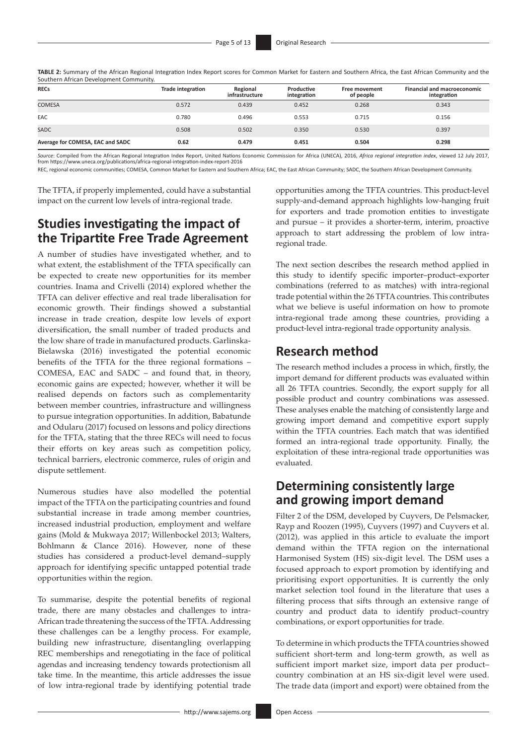**TABLE 2:** Summary of the African Regional Integration Index Report scores for Common Market for Eastern and Southern Africa, the East African Community and the Southern African Development Community.

| <b>RECs</b>                      | <b>Trade integration</b> | Regional<br>infrastructure | Productive<br>integration | <b>Free movement</b><br>of people | <b>Financial and macroeconomic</b><br>integration |
|----------------------------------|--------------------------|----------------------------|---------------------------|-----------------------------------|---------------------------------------------------|
| <b>COMESA</b>                    | 0.572                    | 0.439                      | 0.452                     | 0.268                             | 0.343                                             |
| EAC                              | 0.780                    | 0.496                      | 0.553                     | 0.715                             | 0.156                                             |
| <b>SADC</b>                      | 0.508                    | 0.502                      | 0.350                     | 0.530                             | 0.397                                             |
| Average for COMESA, EAC and SADC | 0.62                     | 0.479                      | 0.451                     | 0.504                             | 0.298                                             |

*Source:* Compiled from the African Regional Integration Index Report, United Nations Economic Commission for Africa (UNECA), 2016, *Africa regional integration index*, viewed 12 July 2017,<br>from https://www.uneca.org/publi

REC, regional economic communities; COMESA, Common Market for Eastern and Southern Africa; EAC, the East African Community; SADC, the Southern African Development Community.

The TFTA, if properly implemented, could have a substantial impact on the current low levels of intra-regional trade.

# **Studies investigating the impact of the Tripartite Free Trade Agreement**

A number of studies have investigated whether, and to what extent, the establishment of the TFTA specifically can be expected to create new opportunities for its member countries. Inama and Crivelli (2014) explored whether the TFTA can deliver effective and real trade liberalisation for economic growth. Their findings showed a substantial increase in trade creation, despite low levels of export diversification, the small number of traded products and the low share of trade in manufactured products. Garlinska-Bielawska (2016) investigated the potential economic benefits of the TFTA for the three regional formations – COMESA, EAC and SADC – and found that, in theory, economic gains are expected; however, whether it will be realised depends on factors such as complementarity between member countries, infrastructure and willingness to pursue integration opportunities. In addition, Babatunde and Odularu (2017) focused on lessons and policy directions for the TFTA, stating that the three RECs will need to focus their efforts on key areas such as competition policy, technical barriers, electronic commerce, rules of origin and dispute settlement.

Numerous studies have also modelled the potential impact of the TFTA on the participating countries and found substantial increase in trade among member countries, increased industrial production, employment and welfare gains (Mold & Mukwaya 2017; Willenbockel 2013; Walters, Bohlmann & Clance 2016). However, none of these studies has considered a product-level demand–supply approach for identifying specific untapped potential trade opportunities within the region.

To summarise, despite the potential benefits of regional trade, there are many obstacles and challenges to intra-African trade threatening the success of the TFTA. Addressing these challenges can be a lengthy process. For example, building new infrastructure, disentangling overlapping REC memberships and renegotiating in the face of political agendas and increasing tendency towards protectionism all take time. In the meantime, this article addresses the issue of low intra-regional trade by identifying potential trade opportunities among the TFTA countries. This product-level supply-and-demand approach highlights low-hanging fruit for exporters and trade promotion entities to investigate and pursue – it provides a shorter-term, interim, proactive approach to start addressing the problem of low intraregional trade.

The next section describes the research method applied in this study to identify specific importer–product–exporter combinations (referred to as matches) with intra-regional trade potential within the 26 TFTA countries. This contributes what we believe is useful information on how to promote intra-regional trade among these countries, providing a product-level intra-regional trade opportunity analysis.

## **Research method**

The research method includes a process in which, firstly, the import demand for different products was evaluated within all 26 TFTA countries. Secondly, the export supply for all possible product and country combinations was assessed. These analyses enable the matching of consistently large and growing import demand and competitive export supply within the TFTA countries. Each match that was identified formed an intra-regional trade opportunity. Finally, the exploitation of these intra-regional trade opportunities was evaluated.

# **Determining consistently large and growing import demand**

Filter 2 of the DSM, developed by Cuyvers, De Pelsmacker, Rayp and Roozen (1995), Cuyvers (1997) and Cuyvers et al. (2012)*,* was applied in this article to evaluate the import demand within the TFTA region on the international Harmonised System (HS) six-digit level. The DSM uses a focused approach to export promotion by identifying and prioritising export opportunities. It is currently the only market selection tool found in the literature that uses a filtering process that sifts through an extensive range of country and product data to identify product–country combinations, or export opportunities for trade.

To determine in which products the TFTA countries showed sufficient short-term and long-term growth, as well as sufficient import market size, import data per product– country combination at an HS six-digit level were used. The trade data (import and export) were obtained from the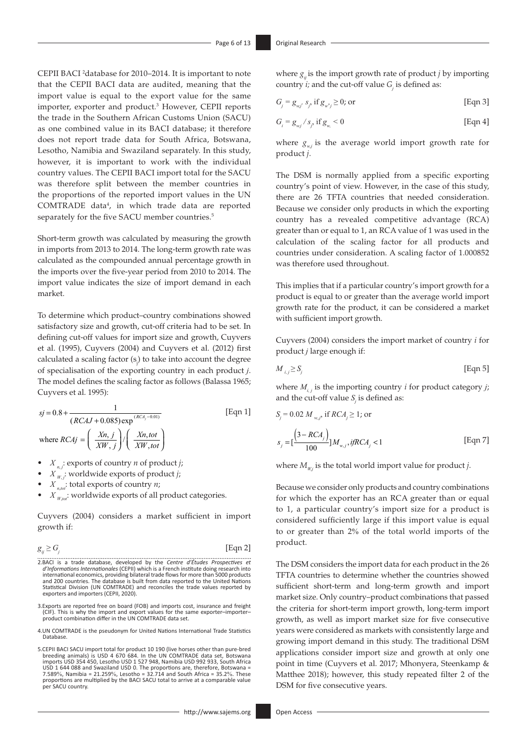CEPII BACI 2 database for 2010–2014. It is important to note that the CEPII BACI data are audited, meaning that the import value is equal to the export value for the same importer, exporter and product.<sup>3</sup> However, CEPII reports the trade in the Southern African Customs Union (SACU) as one combined value in its BACI database; it therefore does not report trade data for South Africa, Botswana, Lesotho, Namibia and Swaziland separately. In this study, however, it is important to work with the individual country values. The CEPII BACI import total for the SACU was therefore split between the member countries in the proportions of the reported import values in the UN COMTRADE data<sup>4</sup>, in which trade data are reported separately for the five SACU member countries.<sup>5</sup>

Short-term growth was calculated by measuring the growth in imports from 2013 to 2014. The long-term growth rate was calculated as the compounded annual percentage growth in the imports over the five-year period from 2010 to 2014. The import value indicates the size of import demand in each market.

To determine which product–country combinations showed satisfactory size and growth, cut-off criteria had to be set. In defining cut-off values for import size and growth, Cuyvers et al. (1995), Cuyvers (2004) and Cuyvers et al. (2012) first calculated a scaling factor  $(s_j)$  to take into account the degree of specialisation of the exporting country in each product *j*. The model defines the scaling factor as follows (Balassa 1965; Cuyvers et al. 1995):

$$
sj = 0.8 + \frac{1}{(RCAJ + 0.085) \exp^{(RCA_j - 0.01)}}
$$
 [Eqn 1]  
where  $RCAj = \left(\frac{Xn, j}{XW, j}\right) / \left(\frac{Xn, tot}{XW, tot}\right)$ 

- $X_{n,j}$ : exports of country *n* of product *j*;
- $X_{W,j}$ : worldwide exports of product *j*;
- $X_{n\omega}$ ; total exports of country *n*;
- $X_{W, \omega}$ : worldwide exports of all product categories.

Cuyvers (2004) considers a market sufficient in import growth if:

$$
g_{ij} \ge G_j \tag{Eqn 2}
$$

- 2.BACI is a trade database, developed by the *Centre d'Études Prospectives et*  $d'Informations Internationales (CEPI) which is a French institute doing research into internal conomics, providing bilateral trade flows for more than 500 products and 200 countries. The database is built from data reported to the United Nations$ Statistical Division (UN COMTRADE) and reconciles the trade values reported by exporters and importers (CEPII, 2020).
- 3.Exports are reported free on board (FOB) and imports cost, insurance and freight (CIF). This is why the import and export values for the same exporter–importer– product combination differ in the UN COMTRADE data set.
- 4.UN COMTRADE is the pseudonym for United Nations International Trade Statistics Database.
- 5.CEPII BACI SACU import total for product 10 190 (live horses other than pure-bred breeding animals) is USD 4 670 684. In the UN COMTRADE data set, Botswana imports USD 354 450, Lesotho USD 1 527 948, Namibia USD 992 933, South Africa<br>USD 1 644 088 and Swaziland USD 0. The proportions are, therefore, Botswana =<br>7.589%, Namibia = 21.259%, Lesotho = 32.714 and South Africa = 35. proportions are multiplied by the BACI SACU total to arrive at a comparable value per SACU country.

where  $g_{\mu}$  is the import growth rate of product *j* by importing country *i;* and the cut-off value *G<sup>j</sup>* is defined as:

$$
G_j = g_{wj} s_j, \text{ if } g_{w'j} \ge 0 \text{; or} \qquad \qquad \text{[Eqn 3]}
$$

$$
G_i = g_{w_i} / s_j \text{ if } g_w < 0 \tag{Eqn 4}
$$

where  $g_{w,i}$  is the average world import growth rate for product *j*.

The DSM is normally applied from a specific exporting country's point of view. However, in the case of this study, there are 26 TFTA countries that needed consideration. Because we consider only products in which the exporting country has a revealed competitive advantage (RCA) greater than or equal to 1, an RCA value of 1 was used in the calculation of the scaling factor for all products and countries under consideration. A scaling factor of 1.000852 was therefore used throughout.

This implies that if a particular country's import growth for a product is equal to or greater than the average world import growth rate for the product, it can be considered a market with sufficient import growth.

Cuyvers (2004) considers the import market of country *i* for product *j* large enough if:

$$
M_{i,j} \ge S_j \tag{Eqn 5}
$$

where  $M_{i,j}$  is the importing country *i* for product category *j*; and the cut-off value  $S_j$  is defined as:

$$
S_j = 0.02 M_{w,j}, \text{ if } RCA_j \ge 1; \text{ or}
$$
  

$$
S_j = \left[\frac{(3 - RCA_j)}{100}\right] M_{w,j}, \text{ if } RCA_j < 1
$$
 [Eqn 7]

where  $M_{W_i}$  is the total world import value for product *j*.

Because we consider only products and country combinations for which the exporter has an RCA greater than or equal to 1, a particular country's import size for a product is considered sufficiently large if this import value is equal to or greater than 2% of the total world imports of the product.

The DSM considers the import data for each product in the 26 TFTA countries to determine whether the countries showed sufficient short-term and long-term growth and import market size. Only country–product combinations that passed the criteria for short-term import growth, long-term import growth, as well as import market size for five consecutive years were considered as markets with consistently large and growing import demand in this study. The traditional DSM applications consider import size and growth at only one point in time (Cuyvers et al. 2017; Mhonyera, Steenkamp & Matthee 2018); however, this study repeated filter 2 of the DSM for five consecutive years.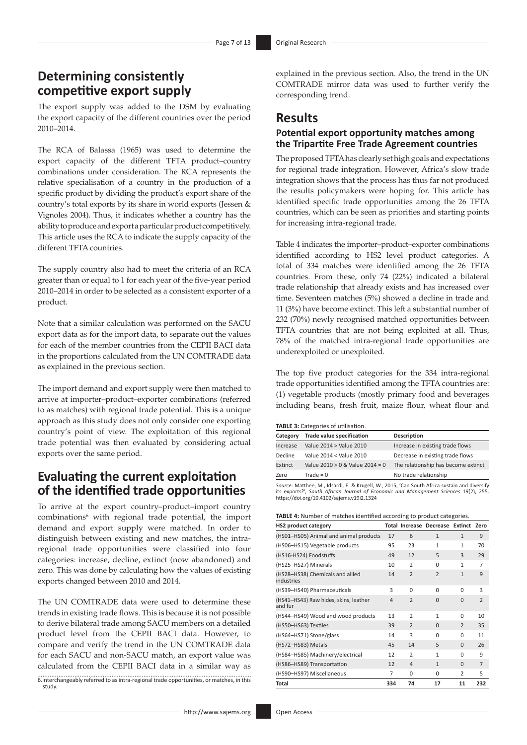## **Determining consistently competitive export supply**

The export supply was added to the DSM by evaluating the export capacity of the different countries over the period 2010–2014.

The RCA of Balassa (1965) was used to determine the export capacity of the different TFTA product–country combinations under consideration. The RCA represents the relative specialisation of a country in the production of a specific product by dividing the product's export share of the country's total exports by its share in world exports (Jessen & Vignoles 2004). Thus, it indicates whether a country has the ability to produce and export a particular product competitively. This article uses the RCA to indicate the supply capacity of the different TFTA countries.

The supply country also had to meet the criteria of an RCA greater than or equal to 1 for each year of the five-year period 2010–2014 in order to be selected as a consistent exporter of a product.

Note that a similar calculation was performed on the SACU export data as for the import data, to separate out the values for each of the member countries from the CEPII BACI data in the proportions calculated from the UN COMTRADE data as explained in the previous section.

The import demand and export supply were then matched to arrive at importer–product–exporter combinations (referred to as matches) with regional trade potential. This is a unique approach as this study does not only consider one exporting country's point of view. The exploitation of this regional trade potential was then evaluated by considering actual exports over the same period.

### **Evaluating the current exploitation of the identified trade opportunities**

To arrive at the export country–product–import country combinations<sup>6</sup> with regional trade potential, the import demand and export supply were matched. In order to distinguish between existing and new matches, the intraregional trade opportunities were classified into four categories: increase, decline, extinct (now abandoned) and zero. This was done by calculating how the values of existing exports changed between 2010 and 2014.

The UN COMTRADE data were used to determine these trends in existing trade flows. This is because it is not possible to derive bilateral trade among SACU members on a detailed product level from the CEPII BACI data. However, to compare and verify the trend in the UN COMTRADE data for each SACU and non-SACU match, an export value was calculated from the CEPII BACI data in a similar way as 6.Interchangeably referred to as intra-regional trade opportunities, or matches, in this study.

explained in the previous section. Also, the trend in the UN COMTRADE mirror data was used to further verify the corresponding trend.

# **Results**

### **Potential export opportunity matches among the Tripartite Free Trade Agreement countries**

The proposed TFTA has clearly set high goals and expectations for regional trade integration. However, Africa's slow trade integration shows that the process has thus far not produced the results policymakers were hoping for. This article has identified specific trade opportunities among the 26 TFTA countries, which can be seen as priorities and starting points for increasing intra-regional trade.

Table 4 indicates the importer–product–exporter combinations identified according to HS2 level product categories. A total of 334 matches were identified among the 26 TFTA countries. From these, only 74 (22%) indicated a bilateral trade relationship that already exists and has increased over time. Seventeen matches (5%) showed a decline in trade and 11 (3%) have become extinct. This left a substantial number of 232 (70%) newly recognised matched opportunities between TFTA countries that are not being exploited at all. Thus, 78% of the matched intra-regional trade opportunities are underexploited or unexploited.

The top five product categories for the 334 intra-regional trade opportunities identified among the TFTA countries are: (1) vegetable products (mostly primary food and beverages including beans, fresh fruit, maize flour, wheat flour and

|  | <b>TABLE 3: Categories of utilisation.</b> |  |
|--|--------------------------------------------|--|
|  |                                            |  |

| Category | <b>Trade value specification</b>    | <b>Description</b>                  |
|----------|-------------------------------------|-------------------------------------|
| Increase | Value 2014 > Value 2010             | Increase in existing trade flows    |
| Decline  | Value 2014 < Value 2010             | Decrease in existing trade flows    |
| Extinct  | Value $2010 > 0$ & Value $2014 = 0$ | The relationship has become extinct |
| Zero     | Trade = $0$                         | No trade relationship               |

Source: Matthee, M., Idsardi, E. & Krugell, W., 2015, 'Can South Africa sustain and diversify<br>its exports?', South African Journal of Economic and Management Sciences 19(2), 255.<br><https://doi.org/10.4102/sajems.v19i2.1324>

|  | <b>TABLE 4:</b> Number of matches identified according to product categories. |
|--|-------------------------------------------------------------------------------|
|  |                                                                               |

| <b>HS2 product category</b>                      |                |                          | Total Increase Decrease Extinct Zero |                |                |
|--------------------------------------------------|----------------|--------------------------|--------------------------------------|----------------|----------------|
| (HS01-HS05) Animal and animal products           | 17             | 6                        | $\mathbf{1}$                         | $\mathbf{1}$   | 9              |
| (HS06-HS15) Vegetable products                   | 95             | 23                       | $\mathbf{1}$                         | $\mathbf{1}$   | 70             |
| (HS16-HS24) Foodstuffs                           | 49             | 12                       | 5                                    | $\mathbf{R}$   | 29             |
| (HS25-HS27) Minerals                             | 10             | $\overline{2}$           | 0                                    | $\mathbf{1}$   | 7              |
| (HS28-HS38) Chemicals and allied<br>industries   | 14             | $\overline{2}$           | $\mathcal{P}$                        | $\mathbf{1}$   | 9              |
| (HS39-HS40) Pharmaceuticals                      | 3              | $\Omega$                 | $\Omega$                             | U              | 3              |
| (HS41-HS43) Raw hides, skins, leather<br>and fur | $\overline{4}$ | $\overline{2}$           | $\Omega$                             | $\Omega$       | $\overline{2}$ |
| (HS44-HS49) Wood and wood products               | 13             | $\overline{2}$           | 1                                    | $\Omega$       | 10             |
| (HS50-HS63) Textiles                             | 39             | $\overline{\phantom{0}}$ | $\Omega$                             | $\mathfrak{D}$ | 35             |
| (HS64-HS71) Stone/glass                          | 14             | 3                        | $\Omega$                             | 0              | 11             |
| (HS72-HS83) Metals                               | 45             | 14                       | 5                                    | $\Omega$       | 26             |
| (HS84-HS85) Machinery/electrical                 | 12             | $\overline{2}$           | $\mathbf{1}$                         | $\Omega$       | 9              |
| (HS86-HS89) Transportation                       | 12             | $\Delta$                 | $\mathbf{1}$                         | $\Omega$       | $\overline{7}$ |
| (HS90-HS97) Miscellaneous                        | 7              | $\Omega$                 | 0                                    | $\overline{2}$ | 5              |
| Total                                            | 334            | 74                       | 17                                   | 11             | 232            |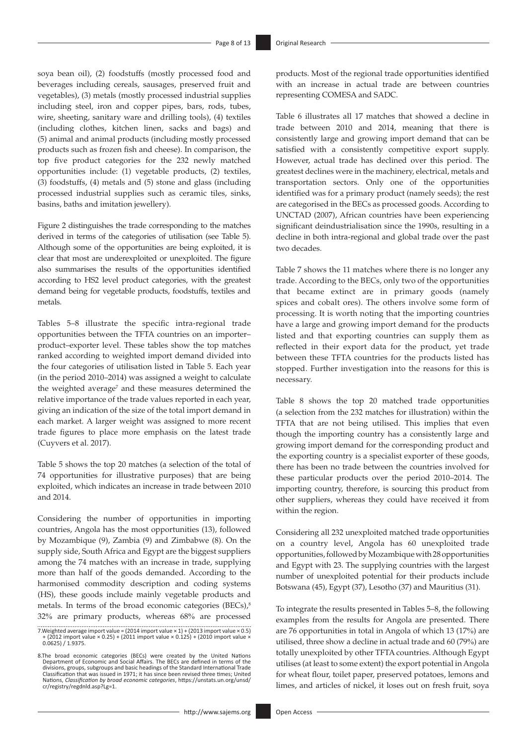soya bean oil), (2) foodstuffs (mostly processed food and beverages including cereals, sausages, preserved fruit and vegetables), (3) metals (mostly processed industrial supplies including steel, iron and copper pipes, bars, rods, tubes, wire, sheeting, sanitary ware and drilling tools), (4) textiles (including clothes, kitchen linen, sacks and bags) and (5) animal and animal products (including mostly processed products such as frozen fish and cheese). In comparison, the top five product categories for the 232 newly matched opportunities include: (1) vegetable products, (2) textiles, (3) foodstuffs, (4) metals and (5) stone and glass (including processed industrial supplies such as ceramic tiles, sinks, basins, baths and imitation jewellery).

Figure 2 distinguishes the trade corresponding to the matches derived in terms of the categories of utilisation (see Table 5). Although some of the opportunities are being exploited, it is clear that most are underexploited or unexploited. The figure also summarises the results of the opportunities identified according to HS2 level product categories, with the greatest demand being for vegetable products, foodstuffs, textiles and metals.

Tables 5–8 illustrate the specific intra-regional trade opportunities between the TFTA countries on an importer– product–exporter level. These tables show the top matches ranked according to weighted import demand divided into the four categories of utilisation listed in Table 5. Each year (in the period 2010–2014) was assigned a weight to calculate the weighted average<sup>7</sup> and these measures determined the relative importance of the trade values reported in each year, giving an indication of the size of the total import demand in each market. A larger weight was assigned to more recent trade figures to place more emphasis on the latest trade (Cuyvers et al. 2017).

Table 5 shows the top 20 matches (a selection of the total of 74 opportunities for illustrative purposes) that are being exploited, which indicates an increase in trade between 2010 and 2014.

Considering the number of opportunities in importing countries, Angola has the most opportunities (13), followed by Mozambique (9), Zambia (9) and Zimbabwe (8). On the supply side, South Africa and Egypt are the biggest suppliers among the 74 matches with an increase in trade, supplying more than half of the goods demanded. According to the harmonised commodity description and coding systems (HS), these goods include mainly vegetable products and metals. In terms of the broad economic categories (BECs),<sup>8</sup> 32% are primary products, whereas 68% are processed

7.Weighted average import value = (2014 import value × 1) + (2013 import value × 0.5) + (2012 import value × 0.25) + (2011 import value × 0.125) + (2010 import value × 0.0625) / 1.9375.

8.The broad economic categories (BECs) were created by the United Nations Department of Economic and Social Affairs. The BECs are defined in terms of the divisions, groups, subgroups and basic headings of the Standard International Trade Classification that was issued in 1971; it has since been revised three times; United Nations, *Classification by broad economic categories*, [https://unstats.un.org/unsd/](https://unstats.un.org/unsd/cr/registry/regdnld.asp?Lg=1) [cr/registry/regdnld.asp?Lg=1](https://unstats.un.org/unsd/cr/registry/regdnld.asp?Lg=1).

products. Most of the regional trade opportunities identified with an increase in actual trade are between countries representing COMESA and SADC.

Table 6 illustrates all 17 matches that showed a decline in trade between 2010 and 2014, meaning that there is consistently large and growing import demand that can be satisfied with a consistently competitive export supply. However, actual trade has declined over this period. The greatest declines were in the machinery, electrical, metals and transportation sectors. Only one of the opportunities identified was for a primary product (namely seeds); the rest are categorised in the BECs as processed goods. According to UNCTAD (2007), African countries have been experiencing significant deindustrialisation since the 1990s, resulting in a decline in both intra-regional and global trade over the past two decades.

Table 7 shows the 11 matches where there is no longer any trade. According to the BECs, only two of the opportunities that became extinct are in primary goods (namely spices and cobalt ores). The others involve some form of processing. It is worth noting that the importing countries have a large and growing import demand for the products listed and that exporting countries can supply them as reflected in their export data for the product, yet trade between these TFTA countries for the products listed has stopped. Further investigation into the reasons for this is necessary.

Table 8 shows the top 20 matched trade opportunities (a selection from the 232 matches for illustration) within the TFTA that are not being utilised. This implies that even though the importing country has a consistently large and growing import demand for the corresponding product and the exporting country is a specialist exporter of these goods, there has been no trade between the countries involved for these particular products over the period 2010–2014. The importing country, therefore, is sourcing this product from other suppliers, whereas they could have received it from within the region.

Considering all 232 unexploited matched trade opportunities on a country level, Angola has 60 unexploited trade opportunities, followed by Mozambique with 28 opportunities and Egypt with 23. The supplying countries with the largest number of unexploited potential for their products include Botswana (45), Egypt (37), Lesotho (37) and Mauritius (31).

To integrate the results presented in Tables 5–8, the following examples from the results for Angola are presented. There are 76 opportunities in total in Angola of which 13 (17%) are utilised, three show a decline in actual trade and 60 (79%) are totally unexploited by other TFTA countries. Although Egypt utilises (at least to some extent) the export potential in Angola for wheat flour, toilet paper, preserved potatoes, lemons and limes, and articles of nickel, it loses out on fresh fruit, soya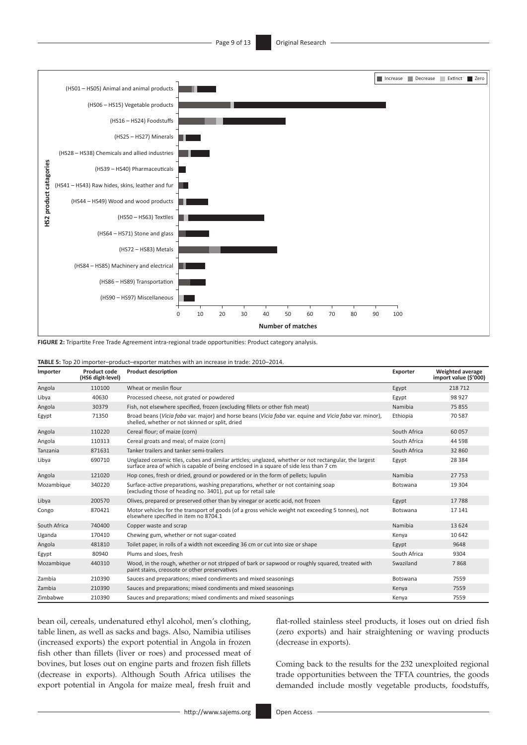

**FIGURE 2:** Tripartite Free Trade Agreement intra-regional trade opportunities: Product category analysis.

| Importer     | Product code<br>(HS6 digit-level) | <b>Product description</b>                                                                                                                                                                     | Exporter     | Weighted average<br>import value (\$'000) |
|--------------|-----------------------------------|------------------------------------------------------------------------------------------------------------------------------------------------------------------------------------------------|--------------|-------------------------------------------|
| Angola       | 110100                            | Wheat or meslin flour                                                                                                                                                                          | Egypt        | 218 712                                   |
| Libya        | 40630                             | Processed cheese, not grated or powdered                                                                                                                                                       | Egypt        | 98 927                                    |
| Angola       | 30379                             | Fish, not elsewhere specified, frozen (excluding fillets or other fish meat)                                                                                                                   | Namibia      | 75 855                                    |
| Egypt        | 71350                             | Broad beans (Vicia faba var. major) and horse beans (Vicia faba var. equine and Vicia faba var. minor),<br>shelled, whether or not skinned or split, dried                                     | Ethiopia     | 70 587                                    |
| Angola       | 110220                            | Cereal flour; of maize (corn)                                                                                                                                                                  | South Africa | 60 057                                    |
| Angola       | 110313                            | Cereal groats and meal; of maize (corn)                                                                                                                                                        | South Africa | 44 5 98                                   |
| Tanzania     | 871631                            | Tanker trailers and tanker semi-trailers                                                                                                                                                       | South Africa | 32 860                                    |
| Libya        | 690710                            | Unglazed ceramic tiles, cubes and similar articles; unglazed, whether or not rectangular, the largest<br>surface area of which is capable of being enclosed in a square of side less than 7 cm | Egypt        | 28 3 8 4                                  |
| Angola       | 121020                            | Hop cones, fresh or dried, ground or powdered or in the form of pellets; lupulin                                                                                                               | Namibia      | 27753                                     |
| Mozambique   | 340220                            | Surface-active preparations, washing preparations, whether or not containing soap<br>(excluding those of heading no. 3401), put up for retail sale                                             | Botswana     | 19 304                                    |
| Libya        | 200570                            | Olives, prepared or preserved other than by vinegar or acetic acid, not frozen                                                                                                                 | Egypt        | 17788                                     |
| Congo        | 870421                            | Motor vehicles for the transport of goods (of a gross vehicle weight not exceeding 5 tonnes), not<br>elsewhere specified in item no 8704.1                                                     | Botswana     | 17 14 1                                   |
| South Africa | 740400                            | Copper waste and scrap                                                                                                                                                                         | Namibia      | 13 6 24                                   |
| Uganda       | 170410                            | Chewing gum, whether or not sugar-coated                                                                                                                                                       | Kenya        | 10 642                                    |
| Angola       | 481810                            | Toilet paper, in rolls of a width not exceeding 36 cm or cut into size or shape                                                                                                                | Egypt        | 9648                                      |
| Egypt        | 80940                             | Plums and sloes, fresh                                                                                                                                                                         | South Africa | 9304                                      |
| Mozambique   | 440310                            | Wood, in the rough, whether or not stripped of bark or sapwood or roughly squared, treated with<br>paint stains, creosote or other preservatives                                               | Swaziland    | 7868                                      |
| Zambia       | 210390                            | Sauces and preparations; mixed condiments and mixed seasonings                                                                                                                                 | Botswana     | 7559                                      |
| Zambia       | 210390                            | Sauces and preparations; mixed condiments and mixed seasonings                                                                                                                                 | Kenya        | 7559                                      |
| Zimbabwe     | 210390                            | Sauces and preparations; mixed condiments and mixed seasonings                                                                                                                                 | Kenya        | 7559                                      |

bean oil, cereals, undenatured ethyl alcohol, men's clothing, table linen, as well as sacks and bags. Also, Namibia utilises (increased exports) the export potential in Angola in frozen fish other than fillets (liver or roes) and processed meat of bovines, but loses out on engine parts and frozen fish fillets (decrease in exports). Although South Africa utilises the export potential in Angola for maize meal, fresh fruit and flat-rolled stainless steel products, it loses out on dried fish (zero exports) and hair straightening or waving products (decrease in exports).

Coming back to the results for the 232 unexploited regional trade opportunities between the TFTA countries, the goods demanded include mostly vegetable products, foodstuffs,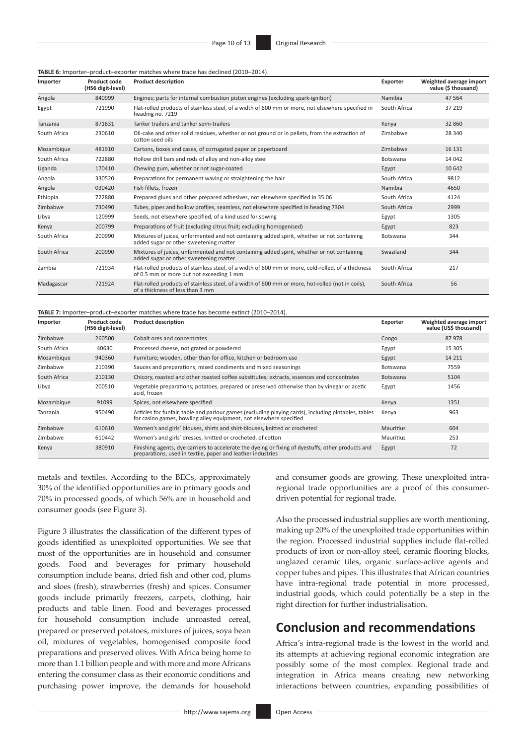#### **TABLE 6:** Importer–product–exporter matches where trade has declined (2010–2014).

| Importer     | Product code<br>(HS6 digit-level) | <b>Product description</b>                                                                                                                     | Exporter     | Weighted average import<br>value (\$ thousand) |
|--------------|-----------------------------------|------------------------------------------------------------------------------------------------------------------------------------------------|--------------|------------------------------------------------|
| Angola       | 840999                            | Engines; parts for internal combustion piston engines (excluding spark-ignition)                                                               | Namibia      | 47 5 64                                        |
| Egypt        | 721990                            | Flat-rolled products of stainless steel, of a width of 600 mm or more, not elsewhere specified in<br>heading no. 7219                          | South Africa | 37 219                                         |
| Tanzania     | 871631                            | Tanker trailers and tanker semi-trailers                                                                                                       | Kenya        | 32 860                                         |
| South Africa | 230610                            | Oil-cake and other solid residues, whether or not ground or in pellets, from the extraction of<br>cotton seed oils                             | Zimbabwe     | 28 340                                         |
| Mozambique   | 481910                            | Cartons, boxes and cases, of corrugated paper or paperboard                                                                                    | Zimbabwe     | 16 131                                         |
| South Africa | 722880                            | Hollow drill bars and rods of alloy and non-alloy steel                                                                                        | Botswana     | 14 042                                         |
| Uganda       | 170410                            | Chewing gum, whether or not sugar-coated                                                                                                       | Egypt        | 10 642                                         |
| Angola       | 330520                            | Preparations for permanent waving or straightening the hair                                                                                    | South Africa | 9812                                           |
| Angola       | 030420                            | Fish fillets, frozen                                                                                                                           | Namibia      | 4650                                           |
| Ethiopia     | 722880                            | Prepared glues and other prepared adhesives, not elsewhere specified in 35.06                                                                  | South Africa | 4124                                           |
| Zimbabwe     | 730490                            | Tubes, pipes and hollow profiles, seamless, not elsewhere specified in heading 7304                                                            | South Africa | 2999                                           |
| Libya        | 120999                            | Seeds, not elsewhere specified, of a kind used for sowing                                                                                      | Egypt        | 1305                                           |
| Kenya        | 200799                            | Preparations of fruit (excluding citrus fruit; excluding homogenised)                                                                          | Egypt        | 823                                            |
| South Africa | 200990                            | Mixtures of juices, unfermented and not containing added spirit, whether or not containing<br>added sugar or other sweetening matter           | Botswana     | 344                                            |
| South Africa | 200990                            | Mixtures of juices, unfermented and not containing added spirit, whether or not containing<br>added sugar or other sweetening matter           | Swaziland    | 344                                            |
| Zambia       | 721934                            | Flat-rolled products of stainless steel, of a width of 600 mm or more, cold-rolled, of a thickness<br>of 0.5 mm or more but not exceeding 1 mm | South Africa | 217                                            |
| Madagascar   | 721924                            | Flat-rolled products of stainless steel, of a width of 600 mm or more, hot-rolled (not in coils),<br>of a thickness of less than 3 mm          | South Africa | 56                                             |

**TABLE 7:** Importer–product–exporter matches where trade has become extinct (2010–2014).

| Importer     | Product code<br>(HS6 digit-level) | <b>Product description</b>                                                                                                                                                 | Exporter         | Weighted average import<br>value (US\$ thousand) |
|--------------|-----------------------------------|----------------------------------------------------------------------------------------------------------------------------------------------------------------------------|------------------|--------------------------------------------------|
| Zimbabwe     | 260500                            | Cobalt ores and concentrates                                                                                                                                               | Congo            | 87978                                            |
| South Africa | 40630                             | Processed cheese, not grated or powdered                                                                                                                                   | Egypt            | 15 305                                           |
| Mozambique   | 940360                            | Furniture; wooden, other than for office, kitchen or bedroom use                                                                                                           | Egypt            | 14 2 11                                          |
| Zimbabwe     | 210390                            | Sauces and preparations; mixed condiments and mixed seasonings                                                                                                             | Botswana         | 7559                                             |
| South Africa | 210130                            | Chicory, roasted and other roasted coffee substitutes; extracts, essences and concentrates                                                                                 | <b>Botswana</b>  | 5104                                             |
| Libya        | 200510                            | Vegetable preparations; potatoes, prepared or preserved otherwise than by vinegar or acetic<br>acid, frozen                                                                | Egypt            | 1456                                             |
| Mozambique   | 91099                             | Spices, not elsewhere specified                                                                                                                                            | Kenya            | 1351                                             |
| Tanzania     | 950490                            | Articles for funfair, table and parlour games (excluding playing cards), including pintables, tables<br>for casino games, bowling alley equipment, not elsewhere specified | Kenya            | 963                                              |
| Zimbabwe     | 610610                            | Women's and girls' blouses, shirts and shirt-blouses, knitted or crocheted                                                                                                 | <b>Mauritius</b> | 604                                              |
| Zimbabwe     | 610442                            | Women's and girls' dresses, knitted or crocheted, of cotton                                                                                                                | Mauritius        | 253                                              |
| Kenya        | 380910                            | Finishing agents, dye carriers to accelerate the dyeing or fixing of dyestuffs, other products and<br>preparations, used in textile, paper and leather industries          | Egypt            | 72                                               |

metals and textiles. According to the BECs, approximately 30% of the identified opportunities are in primary goods and 70% in processed goods, of which 56% are in household and consumer goods (see Figure 3).

Figure 3 illustrates the classification of the different types of goods identified as unexploited opportunities. We see that most of the opportunities are in household and consumer goods. Food and beverages for primary household consumption include beans, dried fish and other cod, plums and sloes (fresh), strawberries (fresh) and spices. Consumer goods include primarily freezers, carpets, clothing, hair products and table linen. Food and beverages processed for household consumption include unroasted cereal, prepared or preserved potatoes, mixtures of juices, soya bean oil, mixtures of vegetables, homogenised composite food preparations and preserved olives. With Africa being home to more than 1.1 billion people and with more and more Africans entering the consumer class as their economic conditions and purchasing power improve, the demands for household

and consumer goods are growing. These unexploited intraregional trade opportunities are a proof of this consumerdriven potential for regional trade.

Also the processed industrial supplies are worth mentioning, making up 20% of the unexploited trade opportunities within the region. Processed industrial supplies include flat-rolled products of iron or non-alloy steel, ceramic flooring blocks, unglazed ceramic tiles, organic surface-active agents and copper tubes and pipes. This illustrates that African countries have intra-regional trade potential in more processed, industrial goods, which could potentially be a step in the right direction for further industrialisation.

### **Conclusion and recommendations**

Africa's intra-regional trade is the lowest in the world and its attempts at achieving regional economic integration are possibly some of the most complex. Regional trade and integration in Africa means creating new networking interactions between countries, expanding possibilities of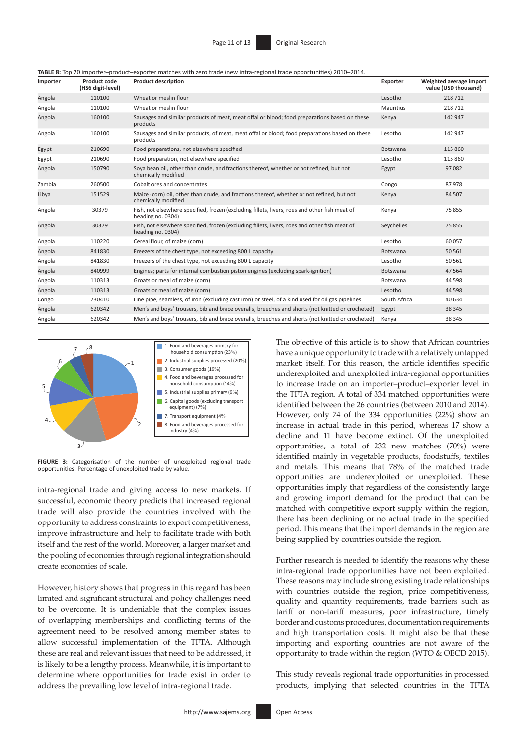**TABLE 8:** Top 20 importer–product–exporter matches with zero trade (new intra-regional trade opportunities) 2010–2014.

| Importer | Product code<br>(HS6 digit-level) | <b>Product description</b>                                                                                         | Exporter     | Weighted average import<br>value (USD thousand) |
|----------|-----------------------------------|--------------------------------------------------------------------------------------------------------------------|--------------|-------------------------------------------------|
| Angola   | 110100                            | Wheat or meslin flour                                                                                              | Lesotho      | 218 712                                         |
| Angola   | 110100                            | Wheat or meslin flour                                                                                              | Mauritius    | 218 712                                         |
| Angola   | 160100                            | Sausages and similar products of meat, meat offal or blood; food preparations based on these<br>products           | Kenya        | 142 947                                         |
| Angola   | 160100                            | Sausages and similar products, of meat, meat offal or blood; food preparations based on these<br>products          | Lesotho      | 142 947                                         |
| Egypt    | 210690                            | Food preparations, not elsewhere specified                                                                         | Botswana     | 115 860                                         |
| Egypt    | 210690                            | Food preparation, not elsewhere specified                                                                          | Lesotho      | 115 860                                         |
| Angola   | 150790                            | Soya bean oil, other than crude, and fractions thereof, whether or not refined, but not<br>chemically modified     | Egypt        | 97 082                                          |
| Zambia   | 260500                            | Cobalt ores and concentrates                                                                                       | Congo        | 87978                                           |
| Libya    | 151529                            | Maize (corn) oil, other than crude, and fractions thereof, whether or not refined, but not<br>chemically modified  | Kenya        | 84 507                                          |
| Angola   | 30379                             | Fish, not elsewhere specified, frozen (excluding fillets, livers, roes and other fish meat of<br>heading no. 0304) | Kenya        | 75 855                                          |
| Angola   | 30379                             | Fish, not elsewhere specified, frozen (excluding fillets, livers, roes and other fish meat of<br>heading no. 0304) | Seychelles   | 75 855                                          |
| Angola   | 110220                            | Cereal flour, of maize (corn)                                                                                      | Lesotho      | 60 057                                          |
| Angola   | 841830                            | Freezers of the chest type, not exceeding 800 L capacity                                                           | Botswana     | 50 561                                          |
| Angola   | 841830                            | Freezers of the chest type, not exceeding 800 L capacity                                                           | Lesotho      | 50 561                                          |
| Angola   | 840999                            | Engines; parts for internal combustion piston engines (excluding spark-ignition)                                   | Botswana     | 47 5 64                                         |
| Angola   | 110313                            | Groats or meal of maize (corn)                                                                                     | Botswana     | 44 5 98                                         |
| Angola   | 110313                            | Groats or meal of maize (corn)                                                                                     | Lesotho      | 44 5 98                                         |
| Congo    | 730410                            | Line pipe, seamless, of iron (excluding cast iron) or steel, of a kind used for oil gas pipelines                  | South Africa | 40 634                                          |
| Angola   | 620342                            | Men's and boys' trousers, bib and brace overalls, breeches and shorts (not knitted or crocheted)                   | Egypt        | 38 345                                          |
| Angola   | 620342                            | Men's and boys' trousers, bib and brace overalls, breeches and shorts (not knitted or crocheted)                   | Kenya        | 38 345                                          |



**FIGURE 3:** Categorisation of the number of unexploited regional trade opportunities: Percentage of unexploited trade by value.

intra-regional trade and giving access to new markets. If successful, economic theory predicts that increased regional trade will also provide the countries involved with the opportunity to address constraints to export competitiveness, improve infrastructure and help to facilitate trade with both itself and the rest of the world. Moreover, a larger market and the pooling of economies through regional integration should create economies of scale.

However, history shows that progress in this regard has been limited and significant structural and policy challenges need to be overcome. It is undeniable that the complex issues of overlapping memberships and conflicting terms of the agreement need to be resolved among member states to allow successful implementation of the TFTA. Although these are real and relevant issues that need to be addressed, it is likely to be a lengthy process. Meanwhile, it is important to determine where opportunities for trade exist in order to address the prevailing low level of intra-regional trade.

The objective of this article is to show that African countries have a unique opportunity to trade with a relatively untapped market: itself. For this reason, the article identifies specific underexploited and unexploited intra-regional opportunities to increase trade on an importer–product–exporter level in the TFTA region. A total of 334 matched opportunities were identified between the 26 countries (between 2010 and 2014). However, only 74 of the 334 opportunities (22%) show an increase in actual trade in this period, whereas 17 show a decline and 11 have become extinct. Of the unexploited opportunities, a total of 232 new matches (70%) were identified mainly in vegetable products, foodstuffs, textiles and metals. This means that 78% of the matched trade opportunities are underexploited or unexploited. These opportunities imply that regardless of the consistently large and growing import demand for the product that can be matched with competitive export supply within the region, there has been declining or no actual trade in the specified period. This means that the import demands in the region are being supplied by countries outside the region.

Further research is needed to identify the reasons why these intra-regional trade opportunities have not been exploited. These reasons may include strong existing trade relationships with countries outside the region, price competitiveness, quality and quantity requirements, trade barriers such as tariff or non-tariff measures, poor infrastructure, timely border and customs procedures, documentation requirements and high transportation costs. It might also be that these importing and exporting countries are not aware of the opportunity to trade within the region (WTO & OECD 2015).

This study reveals regional trade opportunities in processed products, implying that selected countries in the TFTA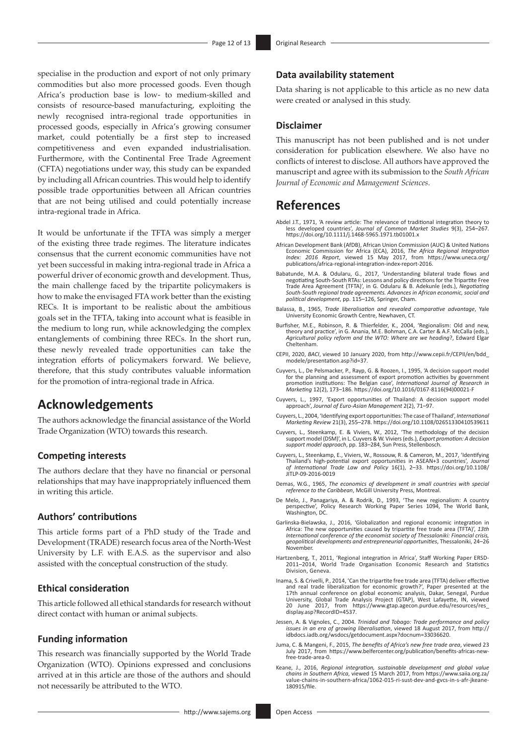specialise in the production and export of not only primary commodities but also more processed goods. Even though Africa's production base is low- to medium-skilled and consists of resource-based manufacturing, exploiting the newly recognised intra-regional trade opportunities in processed goods, especially in Africa's growing consumer market, could potentially be a first step to increased competitiveness and even expanded industrialisation. Furthermore, with the Continental Free Trade Agreement (CFTA) negotiations under way, this study can be expanded by including all African countries. This would help to identify possible trade opportunities between all African countries that are not being utilised and could potentially increase intra-regional trade in Africa.

It would be unfortunate if the TFTA was simply a merger of the existing three trade regimes. The literature indicates consensus that the current economic communities have not yet been successful in making intra-regional trade in Africa a powerful driver of economic growth and development. Thus, the main challenge faced by the tripartite policymakers is how to make the envisaged FTA work better than the existing RECs. It is important to be realistic about the ambitious goals set in the TFTA, taking into account what is feasible in the medium to long run, while acknowledging the complex entanglements of combining three RECs. In the short run, these newly revealed trade opportunities can take the integration efforts of policymakers forward. We believe, therefore, that this study contributes valuable information for the promotion of intra-regional trade in Africa.

# **Acknowledgements**

The authors acknowledge the financial assistance of the World Trade Organization (WTO) towards this research.

#### **Competing interests**

The authors declare that they have no financial or personal relationships that may have inappropriately influenced them in writing this article.

### **Authors' contributions**

This article forms part of a PhD study of the Trade and Development (TRADE) research focus area of the North-West University by L.F. with E.A.S. as the supervisor and also assisted with the conceptual construction of the study.

#### **Ethical consideration**

This article followed all ethical standards for research without direct contact with human or animal subjects.

#### **Funding information**

This research was financially supported by the World Trade Organization (WTO). Opinions expressed and conclusions arrived at in this article are those of the authors and should not necessarily be attributed to the WTO.

#### **Data availability statement**

Data sharing is not applicable to this article as no new data were created or analysed in this study.

#### **Disclaimer**

This manuscript has not been published and is not under consideration for publication elsewhere. We also have no conflicts of interest to disclose. All authors have approved the manuscript and agree with its submission to the *South African Journal of Economic and Management Sciences*.

## **References**

- Abdel J.T., 1971, 'A review article: The relevance of traditional integration theory to less developed countries', *Journal of Common Market Studies* 9(3), 254–267. <https://doi.org/10.1111/j.1468-5965.1971.tb01001.x>
- African Development Bank (AfDB), African Union Commission (AUC) & United Nations Economic Commission for Africa (ECA), 2016, *The Africa Regional Integration Index: 2016 Report*, viewed 15 May 2017, from [https://www.uneca.org/](https://www.uneca.org/publications/africa-regional-integration-index-report-2016) [publications/africa-regional-integration-index-report-2016.](https://www.uneca.org/publications/africa-regional-integration-index-report-2016)
- Babatunde, M.A. & Odularu, G., 2017, 'Understanding bilateral trade flows and negotiating South-South RTAs: Lessons and policy directions for the Tripartite Free Trade Area Agreement (TFTA)', in G. Odularu & B. Adekunle (eds.), *Negotiating South-South regional trade agreements. Advances in African economic, social and political development*, pp. 115–126, Springer, Cham.
- Balassa, B., 1965, *Trade liberalisation and revealed comparative advantage*, Yale University Economic Growth Centre, Newhaven, CT.
- Burfisher, M.E., Robinson, R. & Thierfelder, K., 2004, 'Regionalism: Old and new, theory and practice', in G. Anania, M.E. Bohman, C.A. Carter & A.F. McCalla (eds.), *Agricultural policy reform and the WTO: Where are we heading*?, Edward Elgar Cheltenham.
- CEPII, 2020, *BACI*, viewed 10 January 2020, from [http://www.cepii.fr/CEPII/en/bdd\\_](http://www.cepii.fr/CEPII/en/bdd_modele/presentation.asp?id=37) [modele/presentation.asp?id=37](http://www.cepii.fr/CEPII/en/bdd_modele/presentation.asp?id=37).
- Cuyvers, L., De Pelsmacker, P., Rayp, G. & Roozen, I., 1995, 'A decision support model<br>for the planning and assessment of export promotion activities by government<br>promotion institutions: The Belgian case', International J
- Cuyvers, L., 1997, 'Export opportunities of Thailand: A decision support model approach', *Journal of Euro-Asian Management* 2(2), 71–97.
- Cuyvers, L., 2004, 'Identifying export opportunities: The case of Thailand', *International Marketing Review* 21(3), 255–278. <https://doi.org/10.1108/02651330410539611>
- Cuyvers, L., Steenkamp, E. & Viviers, W., 2012, 'The methodology of the decision support model (DSM)', in L. Cuyvers & W. Viviers (eds.), *Export promotion: A decision support model approach*, pp. 183–284, Sun Press, Stellenbosch.
- Cuyvers, L., Steenkamp, E., Viviers, W., Rossouw, R. & Cameron, M., 2017, 'Identifying Thailand's high-potential export opportunities in ASEAN+3 countries', *Journal of International Trade Law and Policy* 16(1), 2–33. [https://doi.org/10.1108/](https://doi.org/10.1108/JITLP-09-2016-0019) [JITLP-09-2016-0019](https://doi.org/10.1108/JITLP-09-2016-0019)
- Demas, W.G., 1965, *The economics of development in small countries with special reference to the Caribbean*, McGill University Press, Montreal.
- De Melo, J., Panagariya, A. & Rodrik, D., 1993, 'The new regionalism: A country perspective', Policy Research Working Paper Series 1094, The World Bank, Washington, DC.
- Garlinska-Bielawska, J., 2016, 'Globalization and regional economic integration in Africa: The new opportunities caused by tripartite free trade area (TFTA)', *13th International conference of the economist society of Thessaloniki: Financial crisis, geopolitical developments and entrepreneurial opportunities*, Thessaloniki, 24–26 November.
- Hartzenberg, T., 2011, 'Regional integration in Africa', Staff Working Paper ERSD-2011–2014, World Trade Organisation Economic Research and Statistics Division, Geneva.
- Inama, S. & Crivelli, P., 2014, 'Can the tripartite free trade area (TFTA) deliver effective and real trade liberalization for economic growth?', Paper presented at the 17th annual conference on global economic analysis, Dakar, Senegal, Purdue University, Global Trade Analysis Project (GTAP), West Lafayette, IN, viewed 20 June 2017, from [https://www.gtap.agecon.purdue.edu/resources/res\\_](https://www.gtap.agecon.purdue.edu/resources/res_display.asp?RecordID=4537) [display.asp?RecordID=4537.](https://www.gtap.agecon.purdue.edu/resources/res_display.asp?RecordID=4537)
- Jessen, A. & Vignoles, C., 2004. *Trinidad and Tobago: Trade performance and policy issues in an era of growing liberalisation*, viewed 18 August 2017, from [http://](http://idbdocs.iadb.org/wsdocs/getdocument.aspx?docnum=33036620) [idbdocs.iadb.org/wsdocs/getdocument.aspx?docnum=33036620](http://idbdocs.iadb.org/wsdocs/getdocument.aspx?docnum=33036620).
- Juma, C. & Mangeni, F., 2015, *The benefits of Africa's new free trade area*, viewed 23 July 2017, from [https://www.belfercenter.org/publication/benefits-africas-new-](https://www.belfercenter.org/publication/benefits-africas-new-free-trade-area-0)[free-trade-area-0](https://www.belfercenter.org/publication/benefits-africas-new-free-trade-area-0).
- Keane, J., 2016, *Regional integration, sustainable development and global value chains in Southern Africa*, viewed 15 March 2017, from [https://www.saiia.org.za/](https://www.saiia.org.za/value-chains-in-southern-africa/1062-015-ri-sust-dev-and-gvcs-in-s-afr-jkeane-180915/file) [value-chains-in-southern-africa/1062-015-ri-sust-dev-and-gvcs-in-s-afr-jkeane-](https://www.saiia.org.za/value-chains-in-southern-africa/1062-015-ri-sust-dev-and-gvcs-in-s-afr-jkeane-180915/file)[180915/file.](https://www.saiia.org.za/value-chains-in-southern-africa/1062-015-ri-sust-dev-and-gvcs-in-s-afr-jkeane-180915/file)